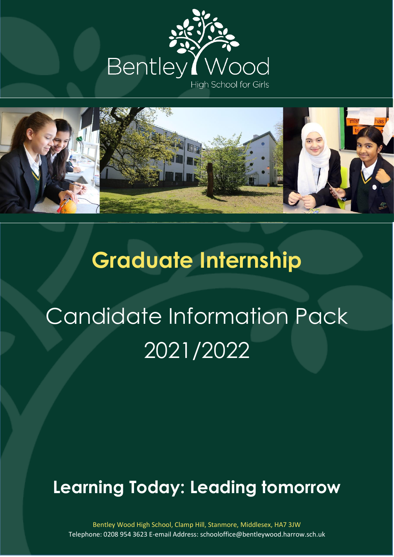



## **Graduate Internship**

# Candidate Information Pack 2021/2022

### **Learning Today: Leading tomorrow**

**About our school** Bentley Wood High School, Clamp Hill, Stanmore, Middlesex, HA7 3JW Telephone: 0208 954 3623 E-email Address: schooloffice@bentleywood.harrow.sch.uk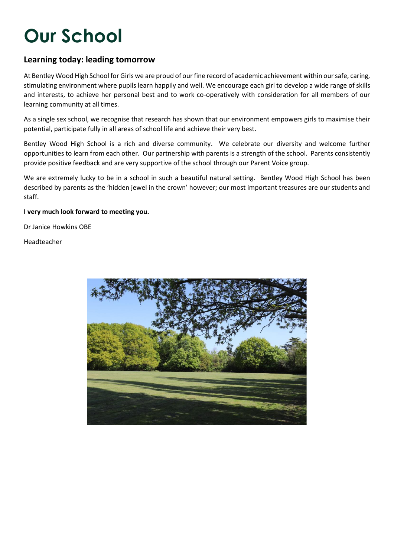## **Our School**

#### **Learning today: leading tomorrow**

At Bentley Wood High School for Girls we are proud of our fine record of academic achievement within our safe, caring, stimulating environment where pupils learn happily and well. We encourage each girl to develop a wide range of skills and interests, to achieve her personal best and to work co-operatively with consideration for all members of our learning community at all times.

As a single sex school, we recognise that research has shown that our environment empowers girls to maximise their potential, participate fully in all areas of school life and achieve their very best.

Bentley Wood High School is a rich and diverse community. We celebrate our diversity and welcome further opportunities to learn from each other. Our partnership with parents is a strength of the school. Parents consistently provide positive feedback and are very supportive of the school through our Parent Voice group.

We are extremely lucky to be in a school in such a beautiful natural setting. Bentley Wood High School has been described by parents as the 'hidden jewel in the crown' however; our most important treasures are our students and staff.

#### **I very much look forward to meeting you.**

Dr Janice Howkins OBE

Headteacher

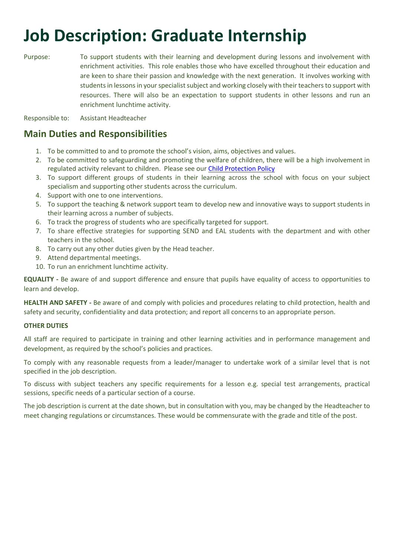### **Job Description: Graduate Internship**

Purpose: To support students with their learning and development during lessons and involvement with enrichment activities. This role enables those who have excelled throughout their education and are keen to share their passion and knowledge with the next generation. It involves working with students in lessons in your specialist subject and working closely with their teachers to support with resources. There will also be an expectation to support students in other lessons and run an enrichment lunchtime activity.

Responsible to: Assistant Headteacher

#### **Main Duties and Responsibilities**

- 1. To be committed to and to promote the school's vision, aims, objectives and values.
- 2. To be committed to safeguarding and promoting the welfare of children, there will be a high involvement in regulated activity relevant to children. Please see ou[r Child Protection Policy](https://www.bentleywood.harrow.sch.uk/wp-content/uploads/2021/09/Child-Protection-Policy-updated-Sept-2021-240921.pdf)
- 3. To support different groups of students in their learning across the school with focus on your subject specialism and supporting other students across the curriculum.
- 4. Support with one to one interventions.
- 5. To support the teaching & network support team to develop new and innovative ways to support students in their learning across a number of subjects.
- 6. To track the progress of students who are specifically targeted for support.
- 7. To share effective strategies for supporting SEND and EAL students with the department and with other teachers in the school.
- 8. To carry out any other duties given by the Head teacher.
- 9. Attend departmental meetings.
- 10. To run an enrichment lunchtime activity.

**EQUALITY -** Be aware of and support difference and ensure that pupils have equality of access to opportunities to learn and develop.

**HEALTH AND SAFETY -** Be aware of and comply with policies and procedures relating to child protection, health and safety and security, confidentiality and data protection; and report all concerns to an appropriate person.

#### **OTHER DUTIES**

All staff are required to participate in training and other learning activities and in performance management and development, as required by the school's policies and practices.

To comply with any reasonable requests from a leader/manager to undertake work of a similar level that is not specified in the job description.

To discuss with subject teachers any specific requirements for a lesson e.g. special test arrangements, practical sessions, specific needs of a particular section of a course.

The job description is current at the date shown, but in consultation with you, may be changed by the Headteacher to meet changing regulations or circumstances. These would be commensurate with the grade and title of the post.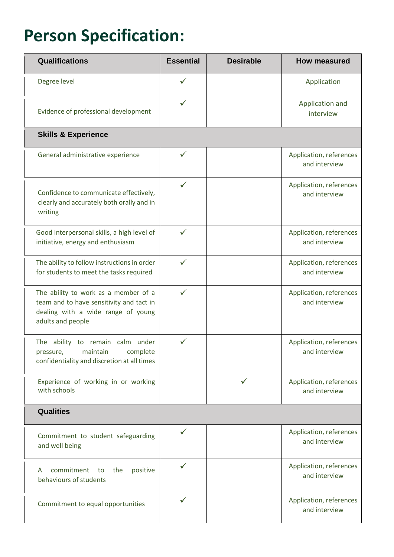### **Person Specification:**

| <b>Qualifications</b>                                                                                                                       | <b>Essential</b> | <b>Desirable</b> | <b>How measured</b>                      |
|---------------------------------------------------------------------------------------------------------------------------------------------|------------------|------------------|------------------------------------------|
| Degree level                                                                                                                                | $\checkmark$     |                  | Application                              |
| Evidence of professional development                                                                                                        |                  |                  | Application and<br>interview             |
| <b>Skills &amp; Experience</b>                                                                                                              |                  |                  |                                          |
| General administrative experience                                                                                                           | ✓                |                  | Application, references<br>and interview |
| Confidence to communicate effectively,<br>clearly and accurately both orally and in<br>writing                                              | ✓                |                  | Application, references<br>and interview |
| Good interpersonal skills, a high level of<br>initiative, energy and enthusiasm                                                             | $\checkmark$     |                  | Application, references<br>and interview |
| The ability to follow instructions in order<br>for students to meet the tasks required                                                      | ✓                |                  | Application, references<br>and interview |
| The ability to work as a member of a<br>team and to have sensitivity and tact in<br>dealing with a wide range of young<br>adults and people | $\checkmark$     |                  | Application, references<br>and interview |
| The ability to remain calm under<br>pressure, maintain complete<br>confidentiality and discretion at all times                              |                  |                  | Application, references<br>and interview |
| Experience of working in or working<br>with schools                                                                                         |                  |                  | Application, references<br>and interview |
| <b>Qualities</b>                                                                                                                            |                  |                  |                                          |
| Commitment to student safeguarding<br>and well being                                                                                        | ✓                |                  | Application, references<br>and interview |
| commitment to<br>positive<br>the<br>A<br>behaviours of students                                                                             | $\checkmark$     |                  | Application, references<br>and interview |
| Commitment to equal opportunities                                                                                                           |                  |                  | Application, references<br>and interview |